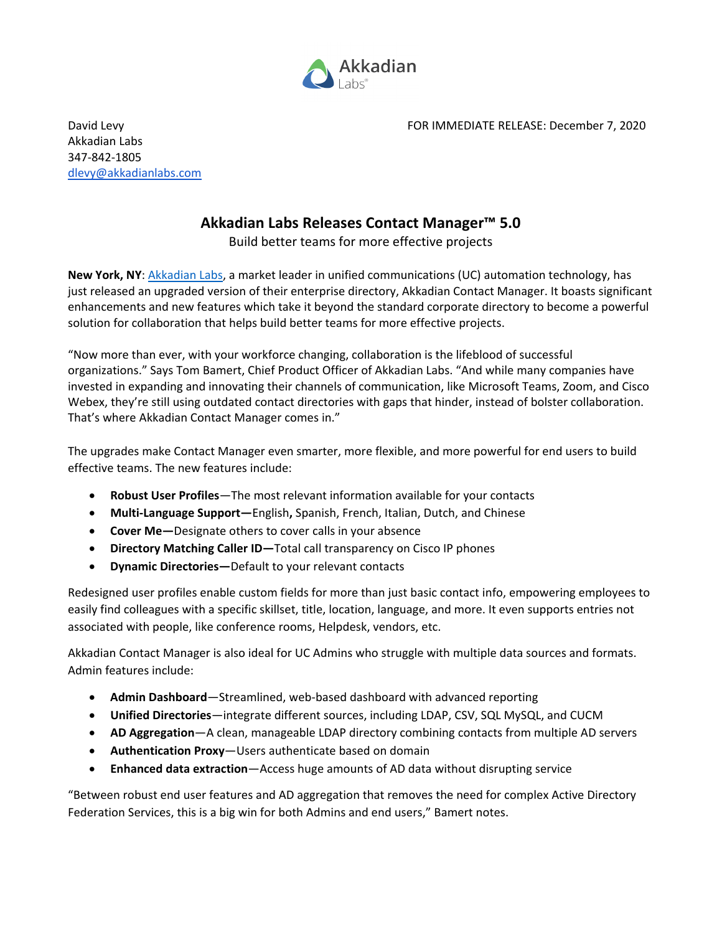

David Levy FOR IMMEDIATE RELEASE: December 7, 2020

Akkadian Labs 347-842-1805 [dlevy@akkadianlabs.com](mailto:dlevy@akkadianlabs.com)

## **Akkadian Labs Releases Contact Manager™ 5.0**

Build better teams for more effective projects

**New York, NY**: [Akkadian Labs,](https://www.akkadianlabs.com/) a market leader in unified communications (UC) automation technology, has just released an upgraded version of their enterprise directory, Akkadian Contact Manager. It boasts significant enhancements and new features which take it beyond the standard corporate directory to become a powerful solution for collaboration that helps build better teams for more effective projects.

"Now more than ever, with your workforce changing, collaboration is the lifeblood of successful organizations." Says Tom Bamert, Chief Product Officer of Akkadian Labs. "And while many companies have invested in expanding and innovating their channels of communication, like Microsoft Teams, Zoom, and Cisco Webex, they're still using outdated contact directories with gaps that hinder, instead of bolster collaboration. That's where Akkadian Contact Manager comes in."

The upgrades make Contact Manager even smarter, more flexible, and more powerful for end users to build effective teams. The new features include:

- **Robust User Profiles**—The most relevant information available for your contacts
- **Multi-Language Support—**English**,** Spanish, French, Italian, Dutch, and Chinese
- **Cover Me—**Designate others to cover calls in your absence
- **Directory Matching Caller ID—**Total call transparency on Cisco IP phones
- **Dynamic Directories—**Default to your relevant contacts

Redesigned user profiles enable custom fields for more than just basic contact info, empowering employees to easily find colleagues with a specific skillset, title, location, language, and more. It even supports entries not associated with people, like conference rooms, Helpdesk, vendors, etc.

Akkadian Contact Manager is also ideal for UC Admins who struggle with multiple data sources and formats. Admin features include:

- **Admin Dashboard**—Streamlined, web-based dashboard with advanced reporting
- **Unified Directories**—integrate different sources, including LDAP, CSV, SQL MySQL, and CUCM
- **AD Aggregation**—A clean, manageable LDAP directory combining contacts from multiple AD servers
- **Authentication Proxy**—Users authenticate based on domain
- **Enhanced data extraction**—Access huge amounts of AD data without disrupting service

"Between robust end user features and AD aggregation that removes the need for complex Active Directory Federation Services, this is a big win for both Admins and end users," Bamert notes.